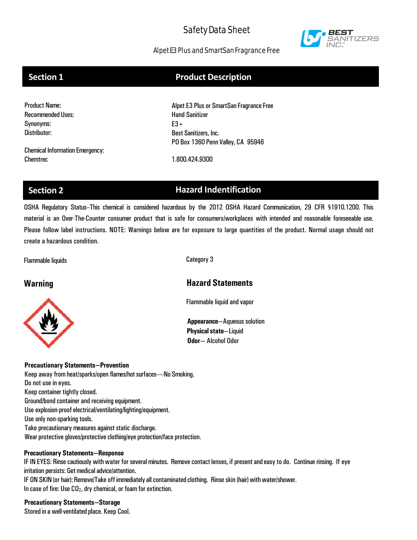

# Alpet E3 Plus and SmartSan Fragrance Free

# **Section 1 Product Description**

| <b>Product Name:</b>                   | Alpet E3 Plus or SmartSan Fragrance Free |
|----------------------------------------|------------------------------------------|
| <b>Recommended Uses:</b>               | <b>Hand Sanitizer</b>                    |
| Synonyms:                              | $E3+$                                    |
| Distributor:                           | <b>Best Sanitizers, Inc.</b>             |
|                                        | PO Box 1360 Penn Valley, CA 95946        |
| <b>Chemical Information Emergency:</b> |                                          |
| Chemtrec                               | 1.800.424.9300                           |

# **Section 2 Hazard Indentification**

OSHA Regulatory Status--This chemical is considered hazardous by the 2012 OSHA Hazard Communication, 29 CFR §1910.1200. This material is an Over-The-Counter consumer product that is safe for consumers/workplaces with intended and reasonable foreseeable use. Please follow label instructions. NOTE: Warnings below are for exposure to large quantities of the product. Normal usage should not create a hazardous condition.

Flammable liquids Category 3



# **Warning Hazard Statements**

Flammable liquid and vapor

**Appearance**—Aqueous solution **Physical state**—Liquid **Odor**— Alcohol Odor

## **Precautionary Statements—Prevention**

Keep away from heat/sparks/open flames/hot surfaces----No Smoking. Do not use in eyes. Keep container tightly closed. Ground/bond container and receiving equipment. Use explosion-proof electrical/ventilating/lighting/equipment. Use only non-sparking tools. Take precautionary measures against static discharge. Wear protective gloves/protective clothing/eye protection/face protection.

## **Precautionary Statements—Response**

IF IN EYES: Rinse cautiously with water for several minutes. Remove contact lenses, if present and easy to do. Continue rinsing. If eye irritation persists: Get medical advice/attention.

IF ON SKIN (or hair): Remove/Take off immediately all contaminated clothing. Rinse skin (hair) with water/shower. In case of fire: Use  $CO<sub>2</sub>$ , dry chemical, or foam for extinction.

# **Precautionary Statements—Storage**

Stored in a well-ventilated place. Keep Cool.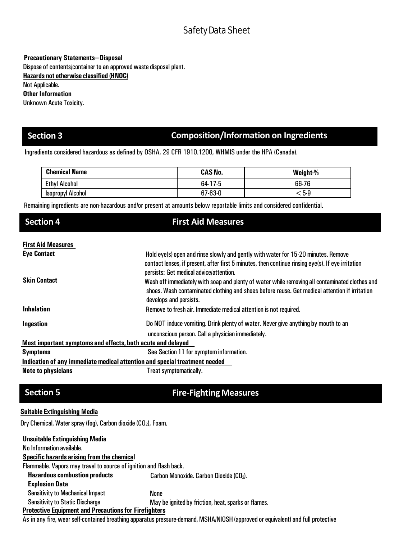**Precautionary Statements—Disposal**

Dispose of contents/container to an approved waste disposal plant.

**Hazards not otherwise classified (HNOC)** 

Not Applicable.

**Other Information**

Unknown Acute Toxicity.

# **Section 3 Composition/Information on Ingredients**

Ingredients considered hazardous as defined by OSHA, 29 CFR 1910.1200, WHMIS under the HPA (Canada).

| <b>Chemical Name</b>     | <b>CAS No.</b> | Weight-% |
|--------------------------|----------------|----------|
| <b>Ethyl Alcohol</b>     | $64-17-5$      | 66-76    |
| <b>Isopropyl Alcohol</b> | $67 - 63 - 0$  | ⊂5-9     |

Remaining ingredients are non-hazardous and/or present at amounts below reportable limits and considered confidential.

# **Section 4 First Aid Measures**

## **First Aid Measures**

| <b>Eye Contact</b><br><b>Skin Contact</b>                                  | Hold eye(s) open and rinse slowly and gently with water for 15-20 minutes. Remove<br>contact lenses, if present, after first 5 minutes, then continue rinsing eye(s). If eye irritation<br>persists: Get medical advice/attention. |  |  |
|----------------------------------------------------------------------------|------------------------------------------------------------------------------------------------------------------------------------------------------------------------------------------------------------------------------------|--|--|
|                                                                            | Wash off immediately with soap and plenty of water while removing all contaminated clothes and<br>shoes. Wash contaminated clothing and shoes before reuse. Get medical attention if irritation<br>develops and persists.          |  |  |
| <b>Inhalation</b>                                                          | Remove to fresh air. Immediate medical attention is not required.                                                                                                                                                                  |  |  |
| Ingestion                                                                  | Do NOT induce vomiting. Drink plenty of water. Never give anything by mouth to an<br>unconscious person. Call a physician immediately.                                                                                             |  |  |
| Most important symptoms and effects, both acute and delayed                |                                                                                                                                                                                                                                    |  |  |
| <b>Symptoms</b>                                                            | See Section 11 for symptom information.                                                                                                                                                                                            |  |  |
| Indication of any immediate medical attention and special treatment needed |                                                                                                                                                                                                                                    |  |  |

**Note to physicians** Treat symptomatically.

# **Section 5 Fire-Fighting Measures**

# **Suitable Extinguishing Media**

Dry Chemical, Water spray (fog), Carbon dioxide (CO<sub>2</sub>), Foam.

| <b>Unsuitable Extinguishing Media</b>                                                                                                                                                                                                |                                                     |
|--------------------------------------------------------------------------------------------------------------------------------------------------------------------------------------------------------------------------------------|-----------------------------------------------------|
| No Information available.                                                                                                                                                                                                            |                                                     |
| Specific hazards arising from the chemical                                                                                                                                                                                           |                                                     |
| Flammable. Vapors may travel to source of ignition and flash back.                                                                                                                                                                   |                                                     |
| <b>Hazardous combustion products</b>                                                                                                                                                                                                 | Carbon Monoxide. Carbon Dioxide (CO2).              |
| <b>Explosion Data</b>                                                                                                                                                                                                                |                                                     |
| <b>Sensitivity to Mechanical Impact</b>                                                                                                                                                                                              | None                                                |
| <b>Sensitivity to Static Discharge</b>                                                                                                                                                                                               | May be ignited by friction, heat, sparks or flames. |
| <b>Protective Equipment and Precautions for Firefighters</b>                                                                                                                                                                         |                                                     |
| $\blacksquare$ , and the contract of the contract of the contract of the contract of the contract of the contract of the contract of the contract of the contract of the contract of the contract of the contract of the contract of | $\blacksquare$                                      |

As in any fire, wear self-contained breathing apparatus pressure-demand, MSHA/NIOSH (approved or equivalent) and full protective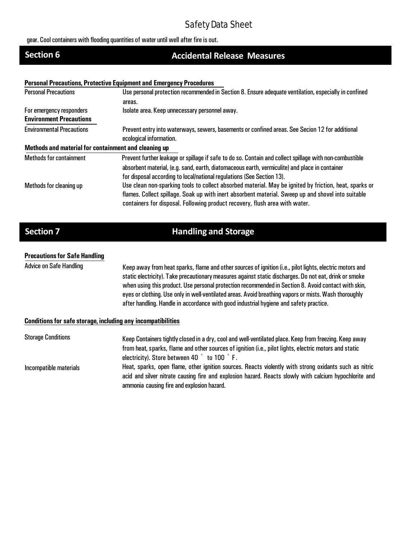gear. Cool containers with flooding quantities of water until well after fire is out.

# **Section 6 Accidental Release Measures**

### **Personal Precautions, Protective Equipment and Emergency Procedures**

| <b>Personal Precautions</b>                          | Use personal protection recommended in Section 8. Ensure adequate ventilation, especially in confined                      |
|------------------------------------------------------|----------------------------------------------------------------------------------------------------------------------------|
|                                                      | areas.                                                                                                                     |
| For emergency responders                             | Isolate area. Keep unnecessary personnel away.                                                                             |
| <b>Environment Precautions</b>                       |                                                                                                                            |
| <b>Environmental Precautions</b>                     | Prevent entry into waterways, sewers, basements or confined areas. See Secion 12 for additional<br>ecological information. |
| Methods and material for containment and cleaning up |                                                                                                                            |
| <b>Methods for containment</b>                       | Prevent further leakage or spillage if safe to do so. Contain and collect spillage with non-combustible                    |
|                                                      | absorbent material, (e.g. sand, earth, diatomaceous earth, vermiculite) and place in container                             |
|                                                      | for disposal according to local/national regulations (See Section 13).                                                     |
| Methods for cleaning up                              | Use clean non-sparking tools to collect absorbed material. May be ignited by friction, heat, sparks or                     |
|                                                      | flames. Collect spillage. Soak up with inert absorbent material. Sweep up and shovel into suitable                         |
|                                                      | containers for disposal. Following product recovery, flush area with water.                                                |

# **Section 7 Handling and Storage**

### **Precautions for Safe Handling**

Advice on Safe Handling Keep away from heat sparks, flame and other sources of ignition (i.e., pilot lights, electric motors and static electricity). Take precautionary measures against static discharges. Do not eat, drink or smoke when using this product. Use personal protection recommended in Section 8. Avoid contact with skin, eyes or clothing. Use only in well-ventilated areas. Avoid breathing vapors or mists. Wash thoroughly after handling. Handle in accordance with good industrial hygiene and safety practice.

### **Conditions for safe storage, including any incompatibilities**

| <b>Storage Conditions</b> | Keep Containers tightly closed in a dry, cool and well-ventilated place. Keep from freezing. Keep away |
|---------------------------|--------------------------------------------------------------------------------------------------------|
|                           | from heat, sparks, flame and other sources of ignition (i.e., pilot lights, electric motors and static |
|                           | electricity). Store between 40 ° to 100 °F.                                                            |
| Incompatible materials    | Heat, sparks, open flame, other ignition sources. Reacts violently with strong oxidants such as nitric |
|                           | acid and silver nitrate causing fire and explosion hazard. Reacts slowly with calcium hypochlorite and |
|                           | ammonia causing fire and explosion hazard.                                                             |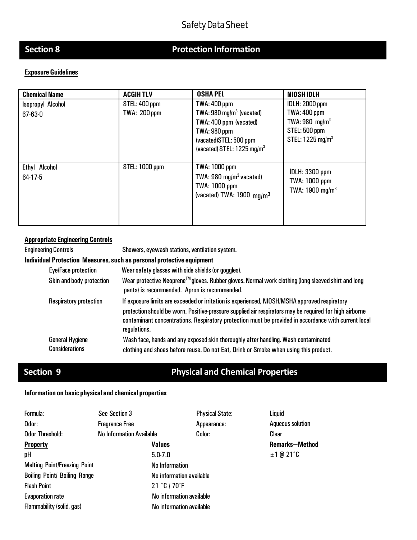# **Section 8 Protection Information**

# **Exposure Guidelines**

| <b>Chemical Name</b> | <b>ACGIHTLV</b>       | <b>OSHA PEL</b>                        | <b>NIOSH IDLH</b>              |
|----------------------|-----------------------|----------------------------------------|--------------------------------|
| Isopropyl Alcohol    | <b>STEL: 400 ppm</b>  | <b>TWA: 400 ppm</b>                    | <b>IDLH: 2000 ppm</b>          |
| $67 - 63 - 0$        | <b>TWA: 200 ppm</b>   | TWA: $980 \,\mathrm{mg/m^3}$ (vacated) | <b>TWA: 400 ppm</b>            |
|                      |                       | TWA: 400 ppm (vacated)                 | TWA: 980 $mg/m3$               |
|                      |                       | <b>TWA: 980 ppm</b>                    | <b>STEL: 500 ppm</b>           |
|                      |                       | (vacated)STEL: 500 ppm                 | STEL: $1225$ mg/m <sup>3</sup> |
|                      |                       | (vacated) STEL: 1225 mg/m <sup>3</sup> |                                |
|                      |                       |                                        |                                |
| Ethyl Alcohol        | <b>STEL: 1000 ppm</b> | <b>TWA: 1000 ppm</b>                   | <b>IDLH: 3300 ppm</b>          |
| $64-17-5$            |                       | TWA: $980 \text{ mg/m}^3$ vacated)     | TWA: 1000 ppm                  |
|                      |                       | <b>TWA: 1000 ppm</b>                   | TWA: $1900$ mg/m <sup>3</sup>  |
|                      |                       | (vacated) TWA: $1900 \text{ ma/m}^3$   |                                |
|                      |                       |                                        |                                |
|                      |                       |                                        |                                |
|                      |                       |                                        |                                |

### **Appropriate Engineering Controls**

Engineering Controls Showers, eyewash stations, ventilation system. **Individual Protection Measures, such as personal protective equipment** Eye/Face protection Wear safety glasses with side shields (or goggles). Skin and body protection Wear protective Neoprene<sup>TM</sup> gloves. Rubber gloves. Normal work clothing (long sleeved shirt and long pants) is recommended. Apron is recommended. Respiratory protection If exposure limits are exceeded or irritation is experienced, NIOSH/MSHA approved respiratory protection should be worn. Positive-pressure supplied air respirators may be required for high airborne contaminant concentrations. Respiratory protection must be provided in accordance with current local regulations. General Hygiene Considerations Wash face, hands and any exposed skin thoroughly after handling.Wash contaminated clothing and shoes before reuse. Do not Eat, Drink or Smoke when using this product.

# **Section 9 Physical and Chemical Properties**

### **Information on basic physical and chemical properties**

| Formula:                            | See Section 3                   |                          | <b>Physical State:</b> |
|-------------------------------------|---------------------------------|--------------------------|------------------------|
| Odor:                               | <b>Fragrance Free</b>           |                          | Appearance:            |
| <b>Odor Threshold:</b>              | <b>No Information Available</b> |                          | Color:                 |
| <b>Property</b>                     |                                 | <b>Values</b>            |                        |
| pH                                  |                                 | $5.0 - 7.0$              |                        |
| <b>Melting Point/Freezing Point</b> |                                 | <b>No Information</b>    |                        |
| <b>Boiling Point/ Boiling Range</b> |                                 | No information available |                        |
| <b>Flash Point</b>                  |                                 | 21 °C / 70 °F            |                        |
| <b>Evaporation rate</b>             |                                 | No information available |                        |
| Flammability (solid, gas)           |                                 | No information available |                        |

Liquid **Aqueous solution** Clear **Remarks—Method** ±1 @ 21˚C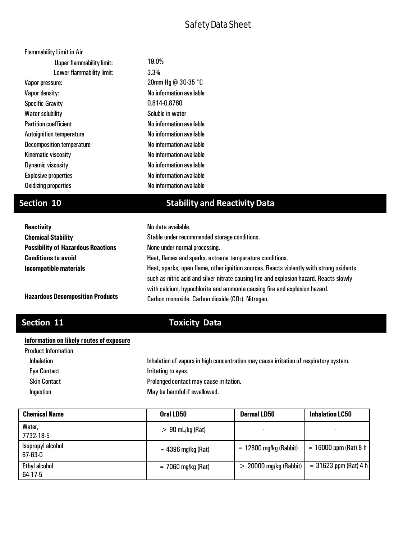| <b>Flammability Limit in Air</b> |                          |
|----------------------------------|--------------------------|
| <b>Upper flammability limit:</b> | 19.0%                    |
| Lower flammability limit:        | 3.3%                     |
| Vapor pressure:                  | 20mm Hg @ 30-35 °C       |
| Vapor density:                   | No information available |
| <b>Specific Gravity</b>          | 0.814-0.8760             |
| <b>Water solubility</b>          | Soluble in water         |
| <b>Partition coefficient</b>     | No information available |
| <b>Autoignition temperature</b>  | No information available |
| <b>Decomposition temperature</b> | No information available |
| Kinematic viscosity              | No information available |
| Dynamic viscosity                | No information available |
| <b>Explosive properties</b>      | No information available |
| <b>Oxidizing properties</b>      | No information available |

# **Section 10 Stability and ReactivityData**

| <b>Reactivity</b>                         | No data available.                                                                      |  |  |
|-------------------------------------------|-----------------------------------------------------------------------------------------|--|--|
| <b>Chemical Stability</b>                 | Stable under recommended storage conditions.                                            |  |  |
| <b>Possibility of Hazardous Reactions</b> | None under normal processing.                                                           |  |  |
| <b>Conditions to avoid</b>                | Heat, flames and sparks, extreme temperature conditions.                                |  |  |
| Incompatible materials                    | Heat, sparks, open flame, other ignition sources. Reacts violently with strong oxidants |  |  |
|                                           | such as nitric acid and silver nitrate causing fire and explosion hazard. Reacts slowly |  |  |
|                                           | with calcium, hypochlorite and ammonia causing fire and explosion hazard.               |  |  |
| <b>Hazardous Decomposition Products</b>   | Carbon monoxide. Carbon dioxide (CO2). Nitrogen.                                        |  |  |

# **Section 11 Toxicity Data**

# **Information on likely routes of exposure**

| <b>Product Information</b> |                                                                                        |
|----------------------------|----------------------------------------------------------------------------------------|
| <b>Inhalation</b>          | Inhalation of vapors in high concentration may cause irritation of respiratory system. |
| <b>Eye Contact</b>         | Irritating to eyes.                                                                    |
| <b>Skin Contact</b>        | Prolonged contact may cause irritation.                                                |
| Ingestion                  | May be harmful if swallowed.                                                           |

| <b>Chemical Name</b>               | Oral LD50            | <b>Dermal LD50</b>       | <b>Inhalation LC50</b>  |
|------------------------------------|----------------------|--------------------------|-------------------------|
| Water,<br>7732-18-5                | $> 90$ mL/kg (Rat)   |                          |                         |
| Isopropyl alcohol<br>$67 - 63 - 0$ | $= 4396$ mg/kg (Rat) | $= 12800$ mg/kg (Rabbit) | $= 16000$ ppm (Rat) 8 h |
| Ethyl alcohol<br>64-17-5           | $= 7060$ mg/kg (Rat) | $> 20000$ mg/kg (Rabbit) | $= 31623$ ppm (Rat) 4 h |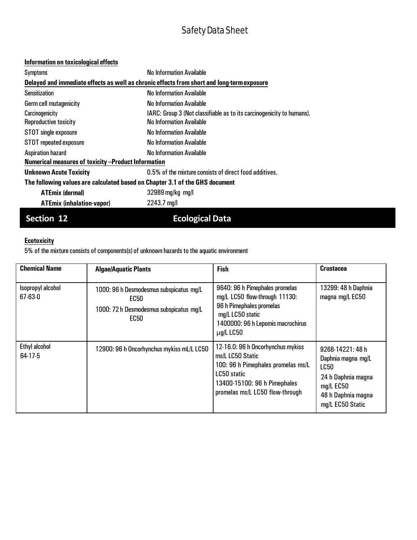# **Information on toxicological effects**

| Symptoms                                                                                   | No Information Available                                                                                 |  |  |
|--------------------------------------------------------------------------------------------|----------------------------------------------------------------------------------------------------------|--|--|
| Delayed and immediate effects as well as chronic effects from short and long-term exposure |                                                                                                          |  |  |
| <b>Sensitization</b>                                                                       | <b>No Information Available</b>                                                                          |  |  |
| <b>Germ cell mutagenicity</b>                                                              | No Information Available                                                                                 |  |  |
| Carcinogenicity<br>Reproductive toxicity                                                   | IARC: Group 3 (Not classifiable as to its carcinogenicity to humans).<br><b>No Information Available</b> |  |  |
| STOT single exposure                                                                       | No Information Available                                                                                 |  |  |
| <b>STOT</b> repeated exposure                                                              | No Information Available                                                                                 |  |  |
| <b>Aspiration hazard</b>                                                                   | No Information Available                                                                                 |  |  |
| Numerical measures of toxicity -Product Information                                        |                                                                                                          |  |  |
| <b>Unknown Acute Toxicity</b>                                                              | 0.5% of the mixture consists of direct food additives.                                                   |  |  |
| The following values are calculated based on Chapter 3.1 of the GHS document               |                                                                                                          |  |  |
| <b>ATEmix (dermal)</b>                                                                     | $32989 \,\mathrm{mg/kg} \,\mathrm{mg/l}$                                                                 |  |  |
| <b>ATEmix (inhalation-vapor)</b>                                                           | $2243.7 \text{ mg/l}$                                                                                    |  |  |

# **Section 12 Ecological Data**

# **Ecotoxicity**

5% of the mixture consists of components(s) of unknown hazards to the aquatic environment

| <b>Chemical Name</b>               | <b>Algae/Aquatic Plants</b>                                                                        | <b>Fish</b>                                                                                                                                                                   | <b>Crustacea</b>                                                                                                              |
|------------------------------------|----------------------------------------------------------------------------------------------------|-------------------------------------------------------------------------------------------------------------------------------------------------------------------------------|-------------------------------------------------------------------------------------------------------------------------------|
| Isopropyl alcohol<br>$67 - 63 - 0$ | 1000: 96 h Desmodesmus subspicatus mg/L<br>EC50<br>1000: 72 h Desmodesmus subspicatus mg/L<br>EC50 | 9640: 96 h Pimephales promelas<br>mg/L LC50 flow-through 11130:<br>96 h Pimephales promelas<br>mg/L LC50 static<br>1400000: 96 h Lepomis macrochirus<br>$\mu$ g/L LC50        | 13299: 48 h Daphnia<br>magna mg/L EC50                                                                                        |
| Ethyl alcohol<br>64-17-5           | 12900: 96 h Oncorhynchus mykiss mL/L LC50                                                          | 12-16.0: 96 h Oncorhynchus mykiss<br>ms/L LC50 Static<br>100: 96 h Pimephales promelas ms/L<br>LC50 static<br>13400-15100: 96 h Pimephales<br>promelas ms/L LC50 flow-through | 9268-14221: 48 h<br>Daphnia magna mg/L<br>LC50<br>24 h Daphnia magna<br>$mg/L$ EC50<br>48 h Daphnia magna<br>mg/L EC50 Static |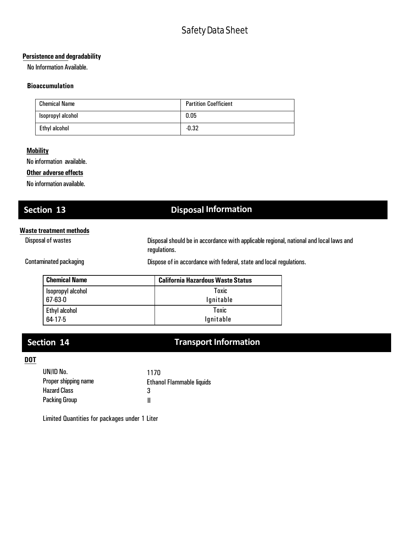## **Persistence and degradability**

No Information Available.

### **Bioaccumulation**

| <b>Chemical Name</b> | <b>Partition Coefficient</b> |
|----------------------|------------------------------|
| Isopropyl alcohol    | 0.05                         |
| Ethyl alcohol        | $-0.32$                      |

## **Mobility**

No information available.

### **Other adverse effects**

No information available.

# **Section 13 Disposal Information**

### **Waste treatment methods**

Disposal of wastes Disposalshould be in accordance with applicableregional, national and local laws and regulations.

Contaminated packaging **Dispose of in accordance with federal**, state and local regulations.

| <b>Chemical Name</b> | <b>California Hazardous Waste Status</b> |
|----------------------|------------------------------------------|
| Isopropyl alcohol    | Toxic                                    |
| 67-63-0              | lgnitable                                |
| Ethyl alcohol        | <b>Toxic</b>                             |
| 64-17-5              | lgnitable                                |

# **Section 14 Transport Information**

## **DOT**

| UN/ID No.            | 1170                      |
|----------------------|---------------------------|
| Proper shipping name | Ethanol Flammable liquids |
| <b>Hazard Class</b>  | З                         |
| <b>Packing Group</b> |                           |

Limited Quantities for packages under 1 Liter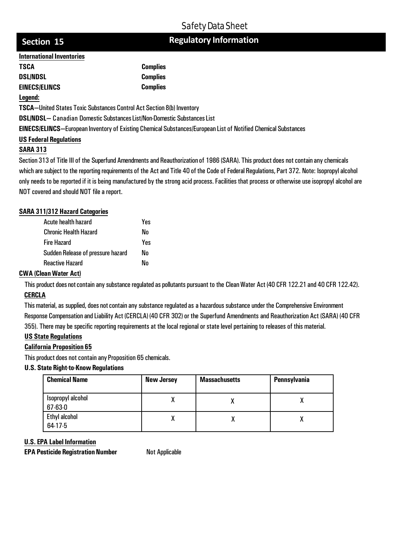# **Regulatory Information**

# **Section 15**

| <b>International Inventories</b> |                 |
|----------------------------------|-----------------|
| <b>TSCA</b>                      | <b>Complies</b> |
| <b>DSL/NDSL</b>                  | <b>Complies</b> |
| <b>EINECS/ELINCS</b>             | <b>Complies</b> |
|                                  |                 |

### **Legend:**

**TSCA—**United States Toxic Substances Control Act Section 8(b) Inventory

**DSL/NDSL—** Canadian Domestic SubstancesList/Non-Domestic SubstancesList

**EINECS/ELINCS—**European Inventory of Existing Chemical Substances/European List of Notified Chemical Substances

## **US Federal Regulations**

## **SARA 313**

Section 313 of Title III of the Superfund Amendments and Reauthorization of 1986 (SARA). This product does not contain any chemicals which are subject to the reporting requirements of the Act and Title 40 of the Code of Federal Regulations, Part 372. Note: Isopropyl alcohol only needs to be reported if it is being manufactured by the strong acid process. Facilities that process or otherwise use isopropyl alcohol are NOT covered and should NOT file a report.

# **SARA 311/312 Hazard Categories**

| Acute health hazard               | Yes |
|-----------------------------------|-----|
| <b>Chronic Health Hazard</b>      | Nn  |
| <b>Fire Hazard</b>                | Yes |
| Sudden Release of pressure hazard | Nn  |
| <b>Reactive Hazard</b>            | Nn  |

## **CWA (CleanWater Act)**

This product does not contain any substance regulated as pollutants pursuant to the Clean Water Act (40 CFR 122.21 and 40 CFR 122.42). **CERCLA**

This material, as supplied, does not contain any substance regulated as a hazardous substance under the Comprehensive Environment Response Compensation and Liability Act (CERCLA) (40 CFR 302) or the Superfund Amendments and Reauthorization Act (SARA) (40 CFR 355). There may be specific reporting requirements at the local regional or state level pertaining to releases of this material.

## **US State Regulations**

## **California Proposition 65**

This product does not contain any Proposition 65 chemicals.

## **U.S. State Right-to-Know Regulations**

| <b>Chemical Name</b>               | <b>New Jersey</b> | <b>Massachusetts</b> | Pennsylvania |
|------------------------------------|-------------------|----------------------|--------------|
| Isopropyl alcohol<br>$67 - 63 - 0$ |                   |                      |              |
| Ethyl alcohol<br>$64-17-5$         | ν                 |                      |              |

## **U.S. EPA Label Information**

**EPA Pesticide Registration Number Not Applicable**